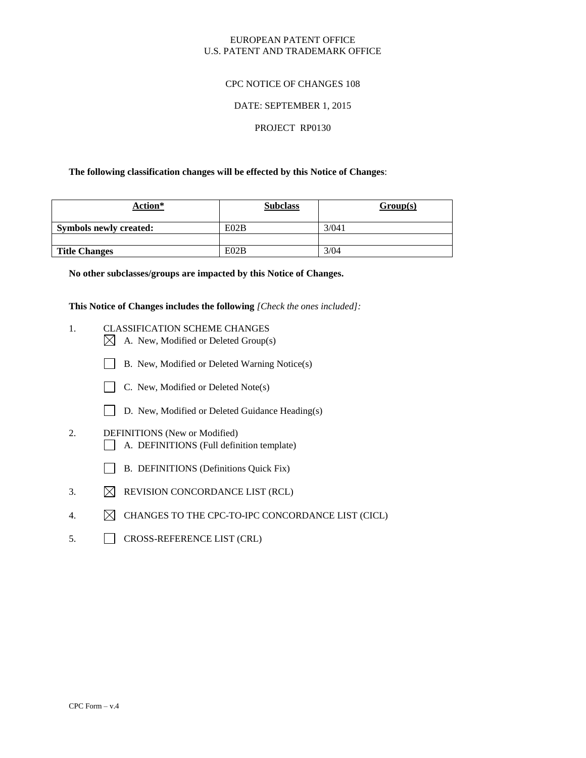### EUROPEAN PATENT OFFICE U.S. PATENT AND TRADEMARK OFFICE

### CPC NOTICE OF CHANGES 108

#### DATE: SEPTEMBER 1, 2015

# PROJECT RP0130

#### **The following classification changes will be effected by this Notice of Changes**:

| Action*                       | <b>Subclass</b> | Group(s) |
|-------------------------------|-----------------|----------|
| <b>Symbols newly created:</b> | E02B            | 3/041    |
|                               |                 |          |
| <b>Title Changes</b>          | E02B            | 3/04     |

**No other subclasses/groups are impacted by this Notice of Changes.**

**This Notice of Changes includes the following** *[Check the ones included]:*

- 1. CLASSIFICATION SCHEME CHANGES  $\boxtimes$  A. New, Modified or Deleted Group(s)
	- B. New, Modified or Deleted Warning Notice(s)



- 
- D. New, Modified or Deleted Guidance Heading(s)
- 2. DEFINITIONS (New or Modified) A. DEFINITIONS (Full definition template)
	-
	- B. DEFINITIONS (Definitions Quick Fix)
- 3.  $\boxtimes$  REVISION CONCORDANCE LIST (RCL)
- 4.  $\boxtimes$  CHANGES TO THE CPC-TO-IPC CONCORDANCE LIST (CICL)
- 5. CROSS-REFERENCE LIST (CRL)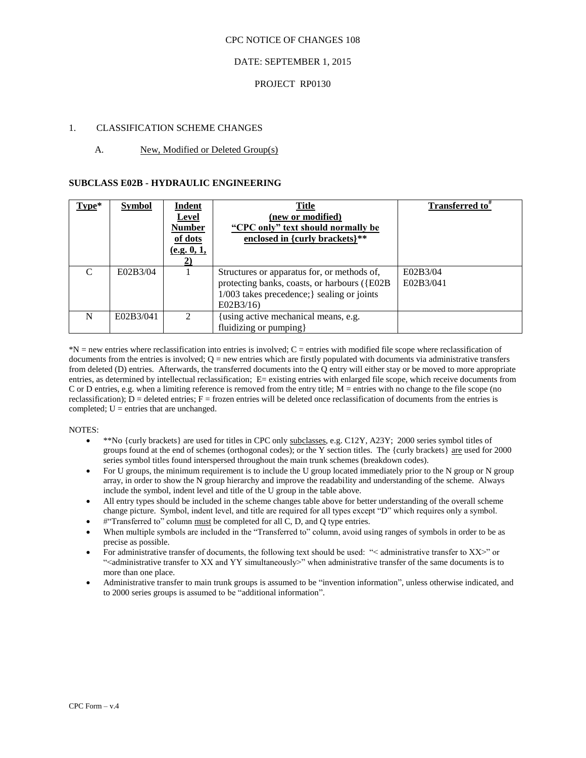#### CPC NOTICE OF CHANGES 108

### DATE: SEPTEMBER 1, 2015

### PROJECT RP0130

### 1. CLASSIFICATION SCHEME CHANGES

### A. New, Modified or Deleted Group(s)

#### **SUBCLASS E02B - HYDRAULIC ENGINEERING**

| Type*                       | <b>Symbol</b> | Indent<br><b>Level</b><br><b>Number</b><br>of dots<br>(e.g. 0, 1, | <b>Title</b><br>(new or modified)<br>"CPC only" text should normally be<br>enclosed in {curly brackets}**                                               | Transferred to <sup>#</sup> |
|-----------------------------|---------------|-------------------------------------------------------------------|---------------------------------------------------------------------------------------------------------------------------------------------------------|-----------------------------|
| $\mathcal{C}_{\mathcal{C}}$ | E02B3/04      |                                                                   | Structures or apparatus for, or methods of,<br>protecting banks, coasts, or harbours ({E02B}<br>$1/003$ takes precedence; sealing or joints<br>E02B3/16 | E02B3/04<br>E02B3/041       |
| N                           | E02B3/041     | $\mathcal{D}$                                                     | using active mechanical means, e.g.<br>fluidizing or pumping }                                                                                          |                             |

 $N =$  new entries where reclassification into entries is involved;  $C =$  entries with modified file scope where reclassification of documents from the entries is involved;  $Q =$  new entries which are firstly populated with documents via administrative transfers from deleted (D) entries. Afterwards, the transferred documents into the Q entry will either stay or be moved to more appropriate entries, as determined by intellectual reclassification; E= existing entries with enlarged file scope, which receive documents from C or D entries, e.g. when a limiting reference is removed from the entry title; M = entries with no change to the file scope (no reclassification);  $D =$  deleted entries;  $F =$  frozen entries will be deleted once reclassification of documents from the entries is completed;  $U =$  entries that are unchanged.

#### NOTES:

- \*\*No {curly brackets} are used for titles in CPC only subclasses, e.g. C12Y, A23Y; 2000 series symbol titles of groups found at the end of schemes (orthogonal codes); or the Y section titles. The {curly brackets} are used for 2000 series symbol titles found interspersed throughout the main trunk schemes (breakdown codes).
- For U groups, the minimum requirement is to include the U group located immediately prior to the N group or N group array, in order to show the N group hierarchy and improve the readability and understanding of the scheme. Always include the symbol, indent level and title of the U group in the table above.
- All entry types should be included in the scheme changes table above for better understanding of the overall scheme change picture. Symbol, indent level, and title are required for all types except "D" which requires only a symbol.
- $#$ "Transferred to" column must be completed for all C, D, and Q type entries.
- When multiple symbols are included in the "Transferred to" column, avoid using ranges of symbols in order to be as precise as possible.
- For administrative transfer of documents, the following text should be used: "< administrative transfer to XX>" or "<administrative transfer to XX and YY simultaneously>" when administrative transfer of the same documents is to more than one place.
- Administrative transfer to main trunk groups is assumed to be "invention information", unless otherwise indicated, and to 2000 series groups is assumed to be "additional information".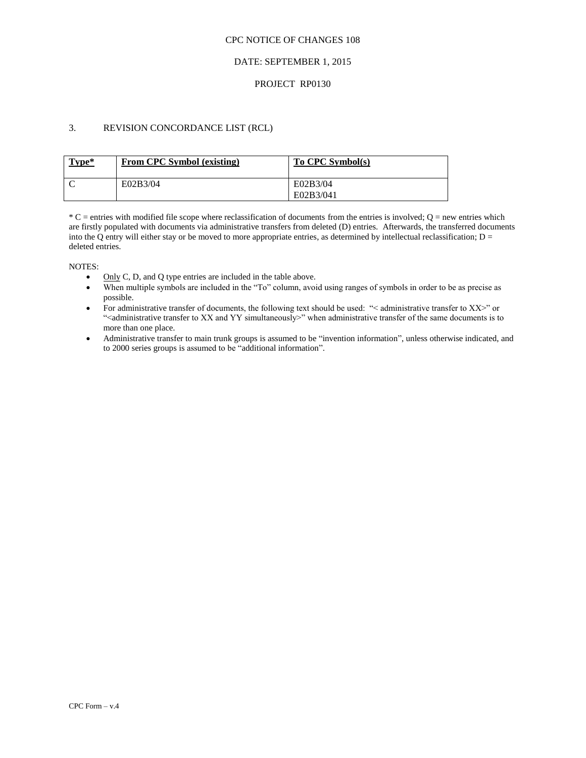#### CPC NOTICE OF CHANGES 108

### DATE: SEPTEMBER 1, 2015

### PROJECT RP0130

# 3. REVISION CONCORDANCE LIST (RCL)

| Type* | From CPC Symbol (existing) | To CPC Symbol(s) |
|-------|----------------------------|------------------|
|       | E02B3/04                   | E02B3/04         |
|       |                            | E02B3/041        |

 $^*C$  = entries with modified file scope where reclassification of documents from the entries is involved; O = new entries which are firstly populated with documents via administrative transfers from deleted (D) entries. Afterwards, the transferred documents into the Q entry will either stay or be moved to more appropriate entries, as determined by intellectual reclassification;  $D =$ deleted entries.

NOTES:

- Only C, D, and Q type entries are included in the table above.
- When multiple symbols are included in the "To" column, avoid using ranges of symbols in order to be as precise as possible.
- For administrative transfer of documents, the following text should be used: "< administrative transfer to XX>" or ">
"<administrative transfer to XX and YY simultaneously>" when administrative transfer of the same documents is to more than one place.
- Administrative transfer to main trunk groups is assumed to be "invention information", unless otherwise indicated, and to 2000 series groups is assumed to be "additional information".